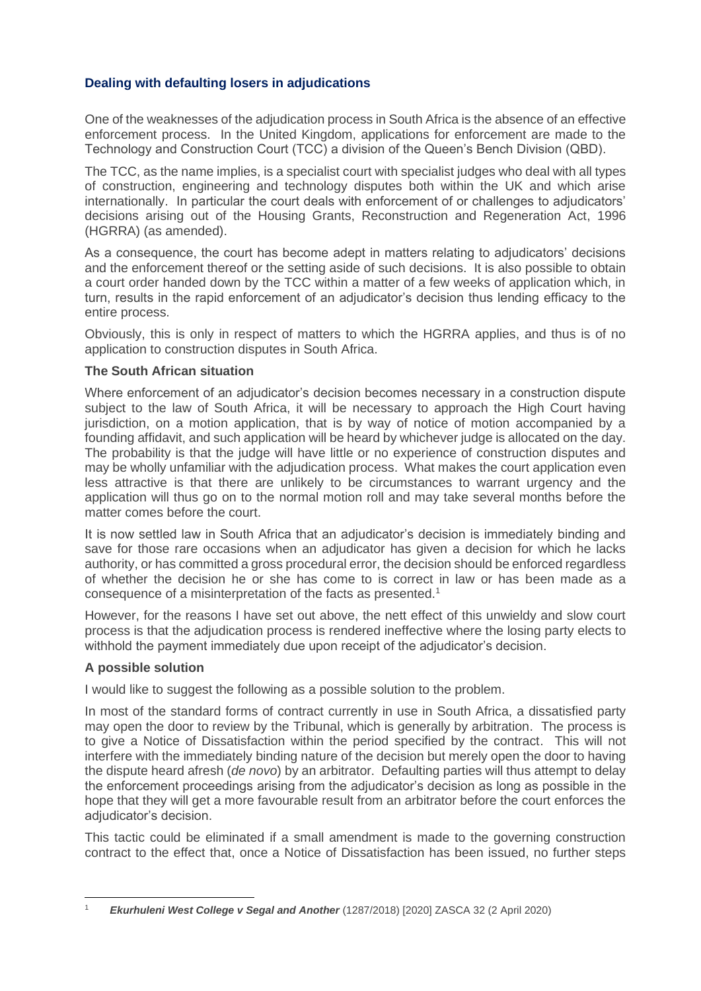## **Dealing with defaulting losers in adjudications**

One of the weaknesses of the adjudication process in South Africa is the absence of an effective enforcement process. In the United Kingdom, applications for enforcement are made to the Technology and Construction Court (TCC) a division of the Queen's Bench Division (QBD).

The TCC, as the name implies, is a specialist court with specialist judges who deal with all types of construction, engineering and technology disputes both within the UK and which arise internationally. In particular the court deals with enforcement of or challenges to adjudicators' decisions arising out of the Housing Grants, Reconstruction and Regeneration Act, 1996 (HGRRA) (as amended).

As a consequence, the court has become adept in matters relating to adjudicators' decisions and the enforcement thereof or the setting aside of such decisions. It is also possible to obtain a court order handed down by the TCC within a matter of a few weeks of application which, in turn, results in the rapid enforcement of an adjudicator's decision thus lending efficacy to the entire process.

Obviously, this is only in respect of matters to which the HGRRA applies, and thus is of no application to construction disputes in South Africa.

## **The South African situation**

Where enforcement of an adjudicator's decision becomes necessary in a construction dispute subject to the law of South Africa, it will be necessary to approach the High Court having jurisdiction, on a motion application, that is by way of notice of motion accompanied by a founding affidavit, and such application will be heard by whichever judge is allocated on the day. The probability is that the judge will have little or no experience of construction disputes and may be wholly unfamiliar with the adjudication process. What makes the court application even less attractive is that there are unlikely to be circumstances to warrant urgency and the application will thus go on to the normal motion roll and may take several months before the matter comes before the court.

It is now settled law in South Africa that an adjudicator's decision is immediately binding and save for those rare occasions when an adjudicator has given a decision for which he lacks authority, or has committed a gross procedural error, the decision should be enforced regardless of whether the decision he or she has come to is correct in law or has been made as a consequence of a misinterpretation of the facts as presented.<sup>1</sup>

However, for the reasons I have set out above, the nett effect of this unwieldy and slow court process is that the adjudication process is rendered ineffective where the losing party elects to withhold the payment immediately due upon receipt of the adjudicator's decision.

## **A possible solution**

I would like to suggest the following as a possible solution to the problem.

In most of the standard forms of contract currently in use in South Africa, a dissatisfied party may open the door to review by the Tribunal, which is generally by arbitration. The process is to give a Notice of Dissatisfaction within the period specified by the contract. This will not interfere with the immediately binding nature of the decision but merely open the door to having the dispute heard afresh (*de novo*) by an arbitrator. Defaulting parties will thus attempt to delay the enforcement proceedings arising from the adjudicator's decision as long as possible in the hope that they will get a more favourable result from an arbitrator before the court enforces the adjudicator's decision.

This tactic could be eliminated if a small amendment is made to the governing construction contract to the effect that, once a Notice of Dissatisfaction has been issued, no further steps

<sup>1</sup> *Ekurhuleni West College v Segal and Another* (1287/2018) [2020] ZASCA 32 (2 April 2020)